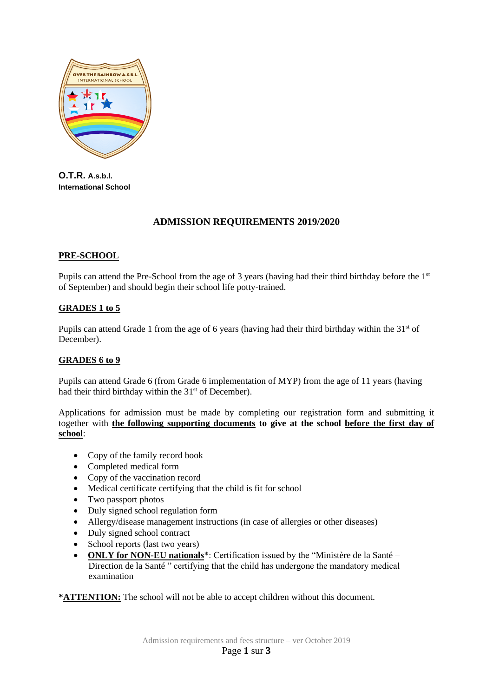

**O.T.R. A.s.b.l. International School**

# **ADMISSION REQUIREMENTS 2019/2020**

## **PRE-SCHOOL**

Pupils can attend the Pre-School from the age of 3 years (having had their third birthday before the 1<sup>st</sup> of September) and should begin their school life potty-trained.

## **GRADES 1 to 5**

Pupils can attend Grade 1 from the age of 6 years (having had their third birthday within the 31<sup>st</sup> of December).

## **GRADES 6 to 9**

Pupils can attend Grade 6 (from Grade 6 implementation of MYP) from the age of 11 years (having had their third birthday within the 31<sup>st</sup> of December).

Applications for admission must be made by completing our registration form and submitting it together with **the following supporting documents to give at the school before the first day of school**:

- Copy of the family record book
- Completed medical form
- Copy of the vaccination record
- Medical certificate certifying that the child is fit for school
- Two passport photos
- Duly signed school regulation form
- Allergy/disease management instructions (in case of allergies or other diseases)
- Duly signed school contract
- School reports (last two years)
- **ONLY for NON-EU nationals**\*: Certification issued by the "Ministère de la Santé Direction de la Santé " certifying that the child has undergone the mandatory medical examination

**\*ATTENTION:** The school will not be able to accept children without this document.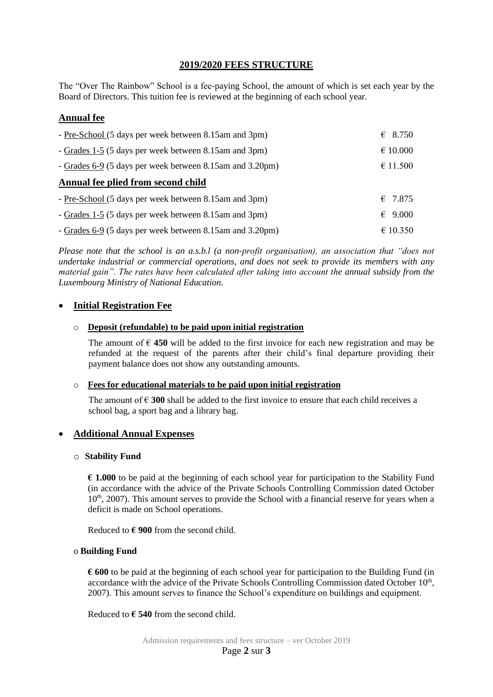# **2019/2020 FEES STRUCTURE**

The "Over The Rainbow" School is a fee-paying School, the amount of which is set each year by the Board of Directors. This tuition fee is reviewed at the beginning of each school year.

# **Annual fee**

| - Pre-School (5 days per week between 8.15am and 3pm)    | $\epsilon$ 8.750 |
|----------------------------------------------------------|------------------|
| - Grades 1-5 (5 days per week between 8.15am and 3pm)    | € 10.000         |
| - Grades 6-9 (5 days per week between 8.15am and 3.20pm) | € 11.500         |
| Annual fee plied from second child                       |                  |
| - Pre-School (5 days per week between 8.15am and 3pm)    | $\epsilon$ 7.875 |
| - Grades 1-5 (5 days per week between 8.15 am and 3pm)   | $\epsilon$ 9.000 |
| - Grades 6-9 (5 days per week between 8.15am and 3.20pm) | € 10.350         |

*Please note that the school is an a.s.b.l (a non-profit organisation), an association that "does not undertake industrial or commercial operations, and does not seek to provide its members with any material gain". The rates have been calculated after taking into account the annual subsidy from the Luxembourg Ministry of National Education.* 

## • **Initial Registration Fee**

### o **Deposit (refundable) to be paid upon initial registration**

The amount of  $\epsilon$  450 will be added to the first invoice for each new registration and may be refunded at the request of the parents after their child's final departure providing their payment balance does not show any outstanding amounts.

### o **Fees for educational materials to be paid upon initial registration**

The amount of  $\epsilon$  300 shall be added to the first invoice to ensure that each child receives a school bag, a sport bag and a library bag.

## • **Additional Annual Expenses**

### o **Stability Fund**

**€ 1.000** to be paid at the beginning of each school year for participation to the Stability Fund (in accordance with the advice of the Private Schools Controlling Commission dated October 10<sup>th</sup>, 2007). This amount serves to provide the School with a financial reserve for years when a deficit is made on School operations.

Reduced to  $\epsilon$  900 from the second child.

### o **Building Fund**

**€ 600** to be paid at the beginning of each school year for participation to the Building Fund (in accordance with the advice of the Private Schools Controlling Commission dated October 10<sup>th</sup>, 2007). This amount serves to finance the School's expenditure on buildings and equipment.

Reduced to **€ 540** from the second child.